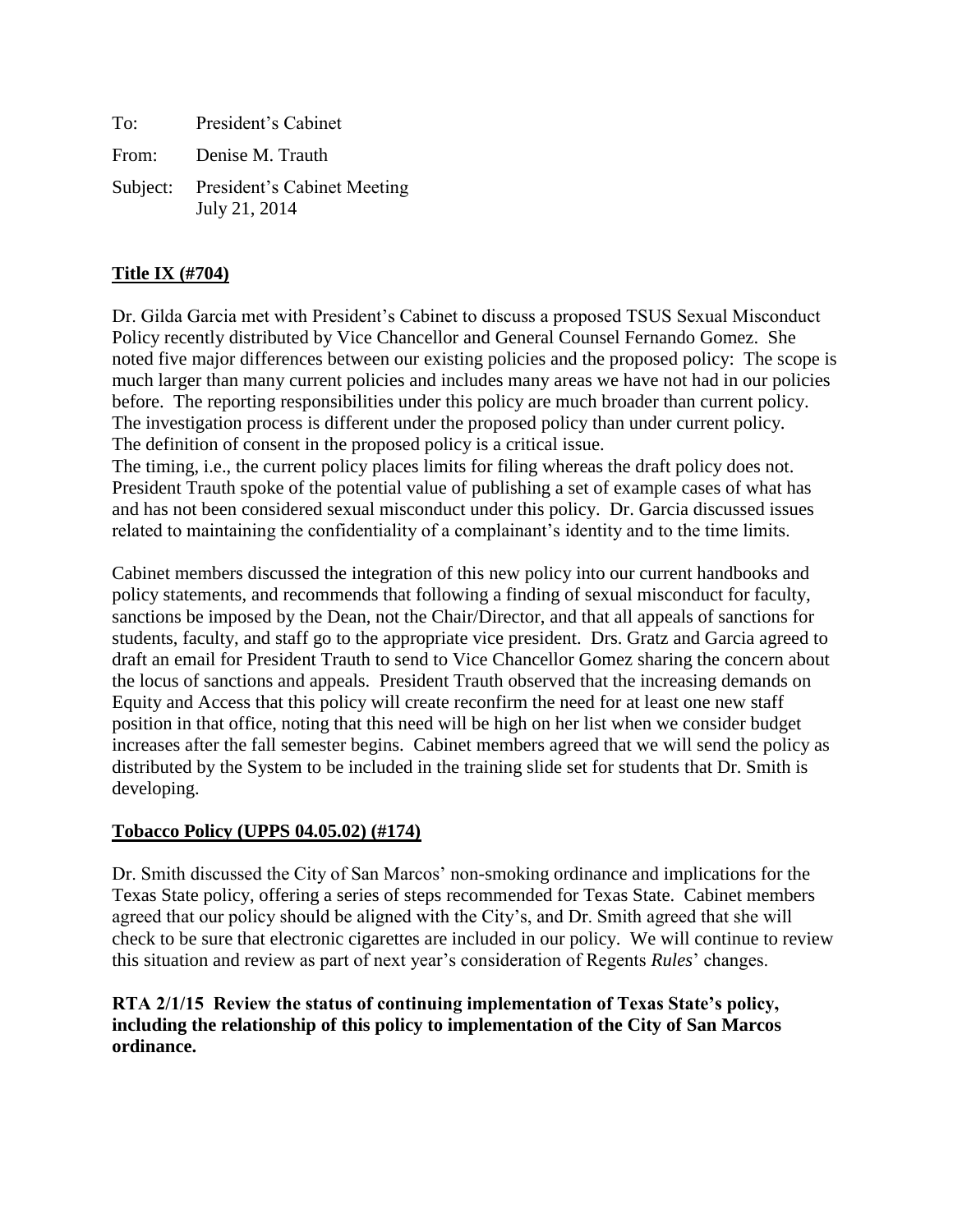To: President's Cabinet From: Denise M. Trauth Subject: President's Cabinet Meeting July 21, 2014

# **Title IX (#704)**

Dr. Gilda Garcia met with President's Cabinet to discuss a proposed TSUS Sexual Misconduct Policy recently distributed by Vice Chancellor and General Counsel Fernando Gomez. She noted five major differences between our existing policies and the proposed policy: The scope is much larger than many current policies and includes many areas we have not had in our policies before. The reporting responsibilities under this policy are much broader than current policy. The investigation process is different under the proposed policy than under current policy. The definition of consent in the proposed policy is a critical issue.

The timing, i.e., the current policy places limits for filing whereas the draft policy does not. President Trauth spoke of the potential value of publishing a set of example cases of what has and has not been considered sexual misconduct under this policy. Dr. Garcia discussed issues related to maintaining the confidentiality of a complainant's identity and to the time limits.

Cabinet members discussed the integration of this new policy into our current handbooks and policy statements, and recommends that following a finding of sexual misconduct for faculty, sanctions be imposed by the Dean, not the Chair/Director, and that all appeals of sanctions for students, faculty, and staff go to the appropriate vice president. Drs. Gratz and Garcia agreed to draft an email for President Trauth to send to Vice Chancellor Gomez sharing the concern about the locus of sanctions and appeals. President Trauth observed that the increasing demands on Equity and Access that this policy will create reconfirm the need for at least one new staff position in that office, noting that this need will be high on her list when we consider budget increases after the fall semester begins. Cabinet members agreed that we will send the policy as distributed by the System to be included in the training slide set for students that Dr. Smith is developing.

## **Tobacco Policy (UPPS 04.05.02) (#174)**

Dr. Smith discussed the City of San Marcos' non-smoking ordinance and implications for the Texas State policy, offering a series of steps recommended for Texas State. Cabinet members agreed that our policy should be aligned with the City's, and Dr. Smith agreed that she will check to be sure that electronic cigarettes are included in our policy. We will continue to review this situation and review as part of next year's consideration of Regents *Rules*' changes.

## **RTA 2/1/15 Review the status of continuing implementation of Texas State's policy, including the relationship of this policy to implementation of the City of San Marcos ordinance.**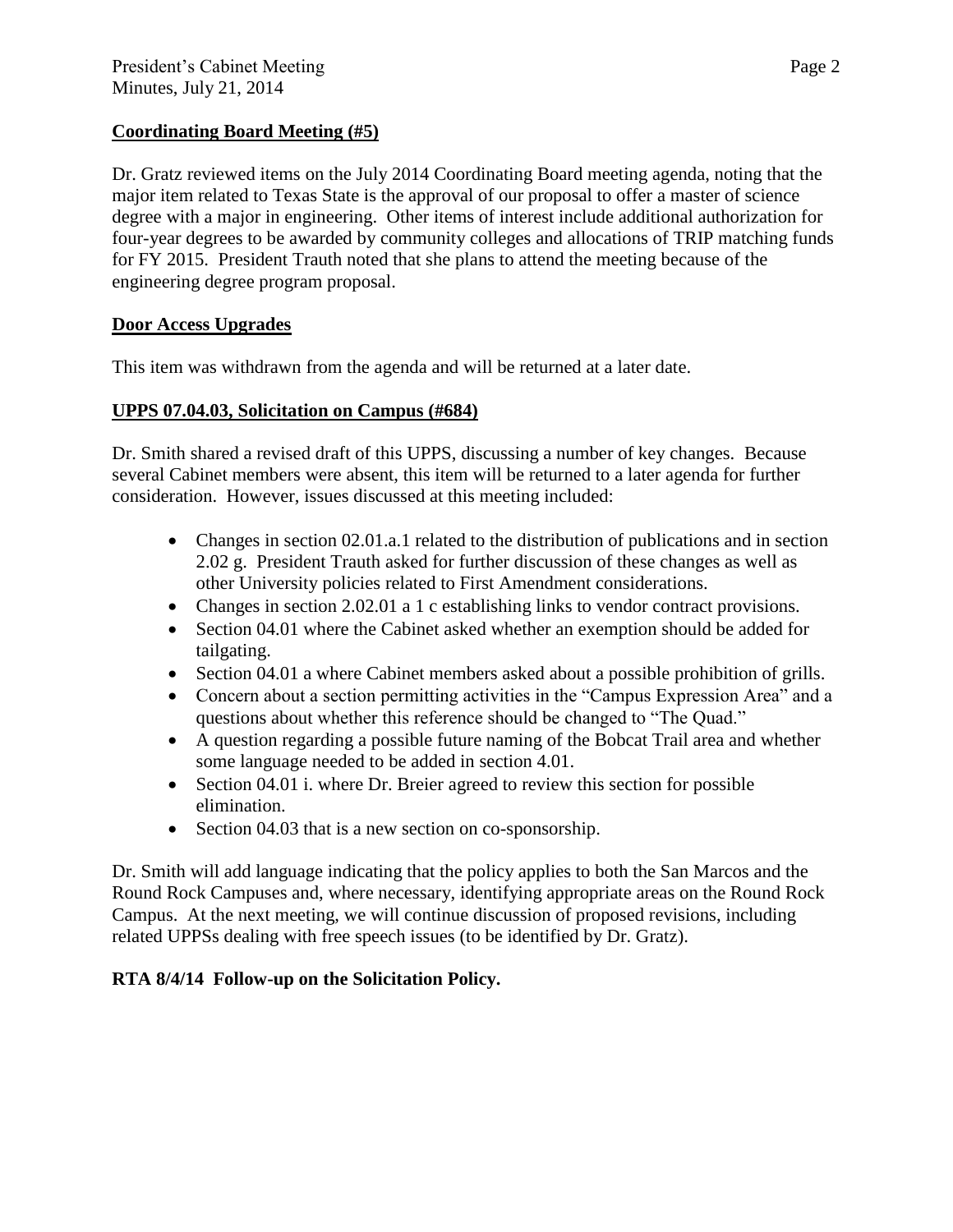#### **Coordinating Board Meeting (#5)**

Dr. Gratz reviewed items on the July 2014 Coordinating Board meeting agenda, noting that the major item related to Texas State is the approval of our proposal to offer a master of science degree with a major in engineering. Other items of interest include additional authorization for four-year degrees to be awarded by community colleges and allocations of TRIP matching funds for FY 2015. President Trauth noted that she plans to attend the meeting because of the engineering degree program proposal.

#### **Door Access Upgrades**

This item was withdrawn from the agenda and will be returned at a later date.

## **UPPS 07.04.03, Solicitation on Campus (#684)**

Dr. Smith shared a revised draft of this UPPS, discussing a number of key changes. Because several Cabinet members were absent, this item will be returned to a later agenda for further consideration. However, issues discussed at this meeting included:

- Changes in section 02.01.a.1 related to the distribution of publications and in section 2.02 g. President Trauth asked for further discussion of these changes as well as other University policies related to First Amendment considerations.
- Changes in section 2.02.01 a 1 c establishing links to vendor contract provisions.
- Section 04.01 where the Cabinet asked whether an exemption should be added for tailgating.
- Section 04.01 a where Cabinet members asked about a possible prohibition of grills.
- Concern about a section permitting activities in the "Campus Expression Area" and a questions about whether this reference should be changed to "The Quad."
- A question regarding a possible future naming of the Bobcat Trail area and whether some language needed to be added in section 4.01.
- Section 04.01 i. where Dr. Breier agreed to review this section for possible elimination.
- Section 04.03 that is a new section on co-sponsorship.

Dr. Smith will add language indicating that the policy applies to both the San Marcos and the Round Rock Campuses and, where necessary, identifying appropriate areas on the Round Rock Campus. At the next meeting, we will continue discussion of proposed revisions, including related UPPSs dealing with free speech issues (to be identified by Dr. Gratz).

## **RTA 8/4/14 Follow-up on the Solicitation Policy.**